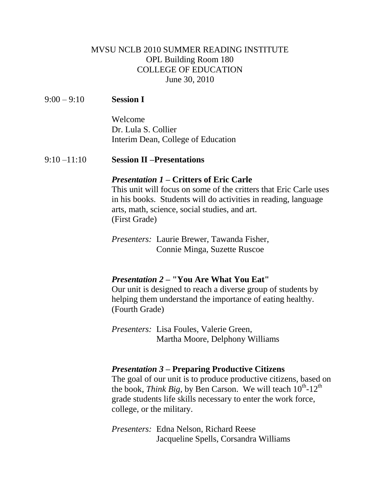# MVSU NCLB 2010 SUMMER READING INSTITUTE OPL Building Room 180 COLLEGE OF EDUCATION June 30, 2010

## 9:00 – 9:10 **Session I**

Welcome Dr. Lula S. Collier Interim Dean, College of Education

### 9:10 –11:10 **Session II –Presentations**

#### *Presentation 1 –* **Critters of Eric Carle**

This unit will focus on some of the critters that Eric Carle uses in his books. Students will do activities in reading, language arts, math, science, social studies, and art. (First Grade)

*Presenters:* Laurie Brewer, Tawanda Fisher, Connie Minga, Suzette Ruscoe

#### *Presentation 2 –* **"You Are What You Eat"**

Our unit is designed to reach a diverse group of students by helping them understand the importance of eating healthy. (Fourth Grade)

*Presenters:* Lisa Foules, Valerie Green, Martha Moore, Delphony Williams

#### *Presentation 3 –* **Preparing Productive Citizens**

The goal of our unit is to produce productive citizens, based on the book, *Think Big*, by Ben Carson. We will teach  $10^{th}$ - $12^{th}$ grade students life skills necessary to enter the work force, college, or the military.

*Presenters:* Edna Nelson, Richard Reese Jacqueline Spells, Corsandra Williams